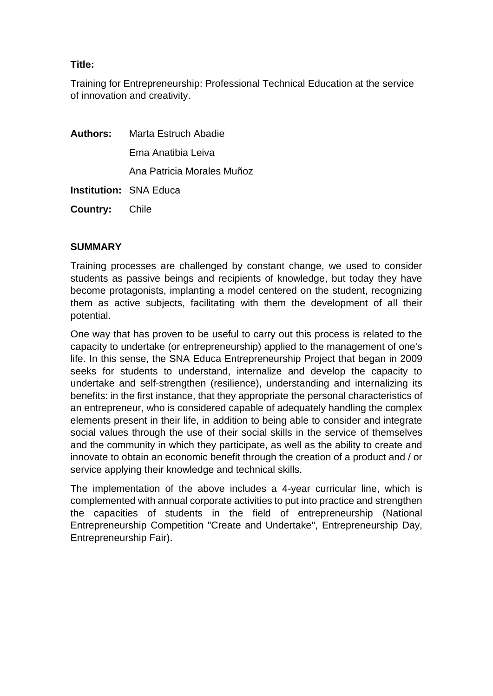# **Title:**

Training for Entrepreneurship: Professional Technical Education at the service of innovation and creativity.

|                       | <b>Authors:</b> Marta Estruch Abadie |
|-----------------------|--------------------------------------|
|                       | Ema Anatibia Leiva                   |
|                       | Ana Patricia Morales Muñoz           |
|                       | <b>Institution: SNA Educa</b>        |
| <b>Country:</b> Chile |                                      |

### **SUMMARY**

Training processes are challenged by constant change, we used to consider students as passive beings and recipients of knowledge, but today they have become protagonists, implanting a model centered on the student, recognizing them as active subjects, facilitating with them the development of all their potential.

One way that has proven to be useful to carry out this process is related to the capacity to undertake (or entrepreneurship) applied to the management of one's life. In this sense, the SNA Educa Entrepreneurship Project that began in 2009 seeks for students to understand, internalize and develop the capacity to undertake and self-strengthen (resilience), understanding and internalizing its benefits: in the first instance, that they appropriate the personal characteristics of an entrepreneur, who is considered capable of adequately handling the complex elements present in their life, in addition to being able to consider and integrate social values through the use of their social skills in the service of themselves and the community in which they participate, as well as the ability to create and innovate to obtain an economic benefit through the creation of a product and / or service applying their knowledge and technical skills.

The implementation of the above includes a 4-year curricular line, which is complemented with annual corporate activities to put into practice and strengthen the capacities of students in the field of entrepreneurship (National Entrepreneurship Competition "Create and Undertake", Entrepreneurship Day, Entrepreneurship Fair).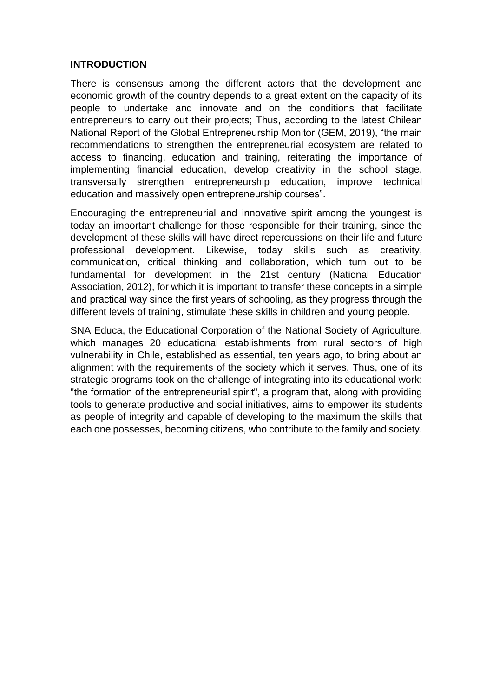### **INTRODUCTION**

There is consensus among the different actors that the development and economic growth of the country depends to a great extent on the capacity of its people to undertake and innovate and on the conditions that facilitate entrepreneurs to carry out their projects; Thus, according to the latest Chilean National Report of the Global Entrepreneurship Monitor (GEM, 2019), "the main recommendations to strengthen the entrepreneurial ecosystem are related to access to financing, education and training, reiterating the importance of implementing financial education, develop creativity in the school stage, transversally strengthen entrepreneurship education, improve technical education and massively open entrepreneurship courses".

Encouraging the entrepreneurial and innovative spirit among the youngest is today an important challenge for those responsible for their training, since the development of these skills will have direct repercussions on their life and future professional development. Likewise, today skills such as creativity, communication, critical thinking and collaboration, which turn out to be fundamental for development in the 21st century (National Education Association, 2012), for which it is important to transfer these concepts in a simple and practical way since the first years of schooling, as they progress through the different levels of training, stimulate these skills in children and young people.

SNA Educa, the Educational Corporation of the National Society of Agriculture, which manages 20 educational establishments from rural sectors of high vulnerability in Chile, established as essential, ten years ago, to bring about an alignment with the requirements of the society which it serves. Thus, one of its strategic programs took on the challenge of integrating into its educational work: "the formation of the entrepreneurial spirit", a program that, along with providing tools to generate productive and social initiatives, aims to empower its students as people of integrity and capable of developing to the maximum the skills that each one possesses, becoming citizens, who contribute to the family and society.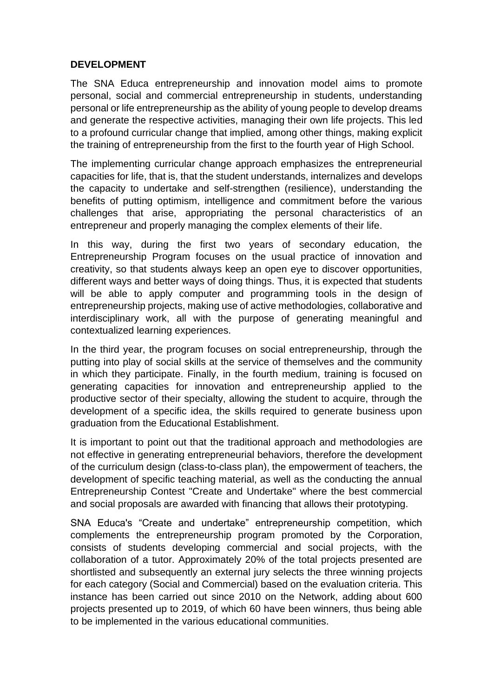# **DEVELOPMENT**

The SNA Educa entrepreneurship and innovation model aims to promote personal, social and commercial entrepreneurship in students, understanding personal or life entrepreneurship as the ability of young people to develop dreams and generate the respective activities, managing their own life projects. This led to a profound curricular change that implied, among other things, making explicit the training of entrepreneurship from the first to the fourth year of High School.

The implementing curricular change approach emphasizes the entrepreneurial capacities for life, that is, that the student understands, internalizes and develops the capacity to undertake and self-strengthen (resilience), understanding the benefits of putting optimism, intelligence and commitment before the various challenges that arise, appropriating the personal characteristics of an entrepreneur and properly managing the complex elements of their life.

In this way, during the first two years of secondary education, the Entrepreneurship Program focuses on the usual practice of innovation and creativity, so that students always keep an open eye to discover opportunities, different ways and better ways of doing things. Thus, it is expected that students will be able to apply computer and programming tools in the design of entrepreneurship projects, making use of active methodologies, collaborative and interdisciplinary work, all with the purpose of generating meaningful and contextualized learning experiences.

In the third year, the program focuses on social entrepreneurship, through the putting into play of social skills at the service of themselves and the community in which they participate. Finally, in the fourth medium, training is focused on generating capacities for innovation and entrepreneurship applied to the productive sector of their specialty, allowing the student to acquire, through the development of a specific idea, the skills required to generate business upon graduation from the Educational Establishment.

It is important to point out that the traditional approach and methodologies are not effective in generating entrepreneurial behaviors, therefore the development of the curriculum design (class-to-class plan), the empowerment of teachers, the development of specific teaching material, as well as the conducting the annual Entrepreneurship Contest "Create and Undertake" where the best commercial and social proposals are awarded with financing that allows their prototyping.

SNA Educa's "Create and undertake" entrepreneurship competition, which complements the entrepreneurship program promoted by the Corporation, consists of students developing commercial and social projects, with the collaboration of a tutor. Approximately 20% of the total projects presented are shortlisted and subsequently an external jury selects the three winning projects for each category (Social and Commercial) based on the evaluation criteria. This instance has been carried out since 2010 on the Network, adding about 600 projects presented up to 2019, of which 60 have been winners, thus being able to be implemented in the various educational communities.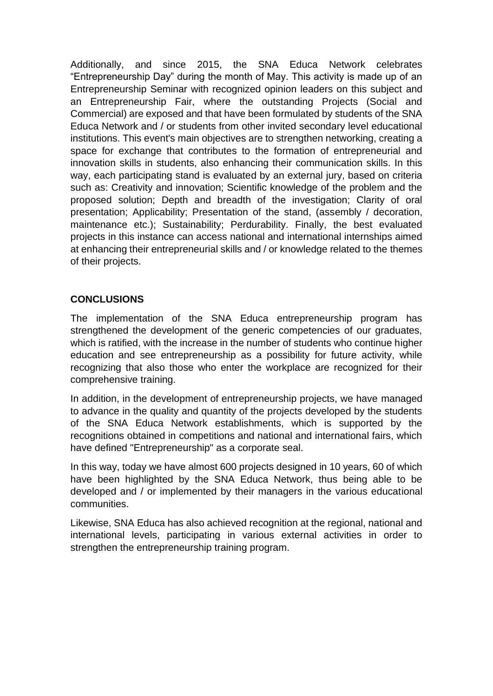Additionally, and since 2015, the SNA Educa Network celebrates "Entrepreneurship Day" during the month of May. This activity is made up of an Entrepreneurship Seminar with recognized opinion leaders on this subject and an Entrepreneurship Fair, where the outstanding Projects (Social and Commercial) are exposed and that have been formulated by students of the SNA Educa Network and / or students from other invited secondary level educational institutions. This event's main objectives are to strengthen networking, creating a space for exchange that contributes to the formation of entrepreneurial and innovation skills in students, also enhancing their communication skills. In this way, each participating stand is evaluated by an external jury, based on criteria such as: Creativity and innovation; Scientific knowledge of the problem and the proposed solution; Depth and breadth of the investigation; Clarity of oral presentation; Applicability; Presentation of the stand, (assembly / decoration, maintenance etc.); Sustainability; Perdurability. Finally, the best evaluated projects in this instance can access national and international internships aimed at enhancing their entrepreneurial skills and / or knowledge related to the themes of their projects.

# **CONCLUSIONS**

The implementation of the SNA Educa entrepreneurship program has strengthened the development of the generic competencies of our graduates, which is ratified, with the increase in the number of students who continue higher education and see entrepreneurship as a possibility for future activity, while recognizing that also those who enter the workplace are recognized for their comprehensive training.

In addition, in the development of entrepreneurship projects, we have managed to advance in the quality and quantity of the projects developed by the students of the SNA Educa Network establishments, which is supported by the recognitions obtained in competitions and national and international fairs, which have defined "Entrepreneurship" as a corporate seal.

In this way, today we have almost 600 projects designed in 10 years, 60 of which have been highlighted by the SNA Educa Network, thus being able to be developed and / or implemented by their managers in the various educational communities.

Likewise, SNA Educa has also achieved recognition at the regional, national and international levels, participating in various external activities in order to strengthen the entrepreneurship training program.